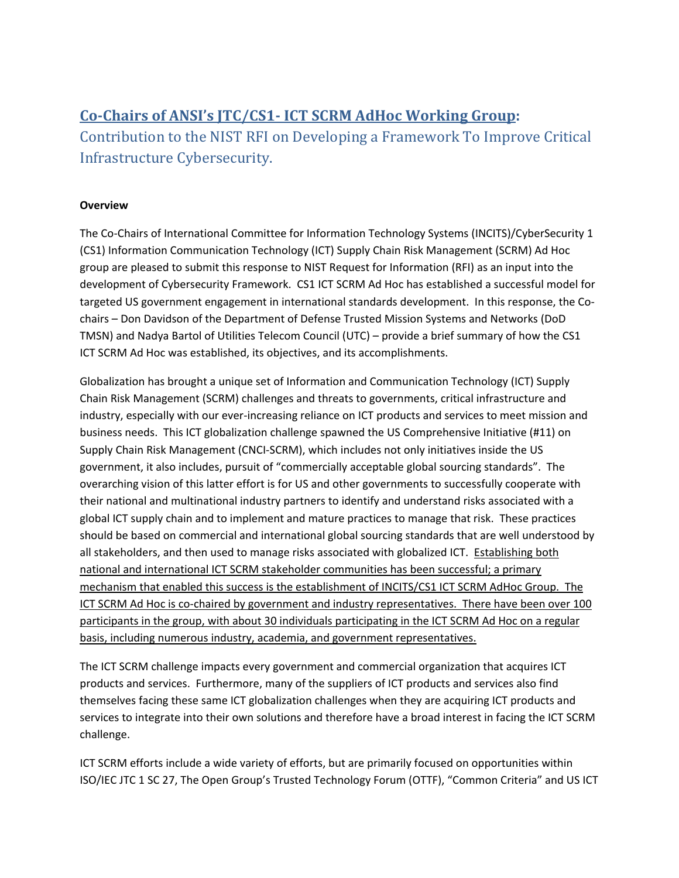# **Co-Chairs of ANSI's JTC/CS1- ICT SCRM AdHoc Working Group:**

Contribution to the NIST RFI on Developing a Framework To Improve Critical Infrastructure Cybersecurity.

## **Overview**

The Co-Chairs of International Committee for Information Technology Systems (INCITS)/CyberSecurity 1 (CS1) Information Communication Technology (ICT) Supply Chain Risk Management (SCRM) Ad Hoc group are pleased to submit this response to NIST Request for Information (RFI) as an input into the development of Cybersecurity Framework. CS1 ICT SCRM Ad Hoc has established a successful model for targeted US government engagement in international standards development. In this response, the Cochairs – Don Davidson of the Department of Defense Trusted Mission Systems and Networks (DoD TMSN) and Nadya Bartol of Utilities Telecom Council (UTC) – provide a brief summary of how the CS1 ICT SCRM Ad Hoc was established, its objectives, and its accomplishments.

Globalization has brought a unique set of Information and Communication Technology (ICT) Supply Chain Risk Management (SCRM) challenges and threats to governments, critical infrastructure and industry, especially with our ever-increasing reliance on ICT products and services to meet mission and business needs. This ICT globalization challenge spawned the US Comprehensive Initiative (#11) on Supply Chain Risk Management (CNCI-SCRM), which includes not only initiatives inside the US government, it also includes, pursuit of "commercially acceptable global sourcing standards". The overarching vision of this latter effort is for US and other governments to successfully cooperate with their national and multinational industry partners to identify and understand risks associated with a global ICT supply chain and to implement and mature practices to manage that risk. These practices should be based on commercial and international global sourcing standards that are well understood by all stakeholders, and then used to manage risks associated with globalized ICT. Establishing both national and international ICT SCRM stakeholder communities has been successful; a primary mechanism that enabled this success is the establishment of INCITS/CS1 ICT SCRM AdHoc Group. The ICT SCRM Ad Hoc is co-chaired by government and industry representatives. There have been over 100 participants in the group, with about 30 individuals participating in the ICT SCRM Ad Hoc on a regular basis, including numerous industry, academia, and government representatives.

The ICT SCRM challenge impacts every government and commercial organization that acquires ICT products and services. Furthermore, many of the suppliers of ICT products and services also find themselves facing these same ICT globalization challenges when they are acquiring ICT products and services to integrate into their own solutions and therefore have a broad interest in facing the ICT SCRM challenge.

ICT SCRM efforts include a wide variety of efforts, but are primarily focused on opportunities within ISO/IEC JTC 1 SC 27, The Open Group's Trusted Technology Forum (OTTF), "Common Criteria" and US ICT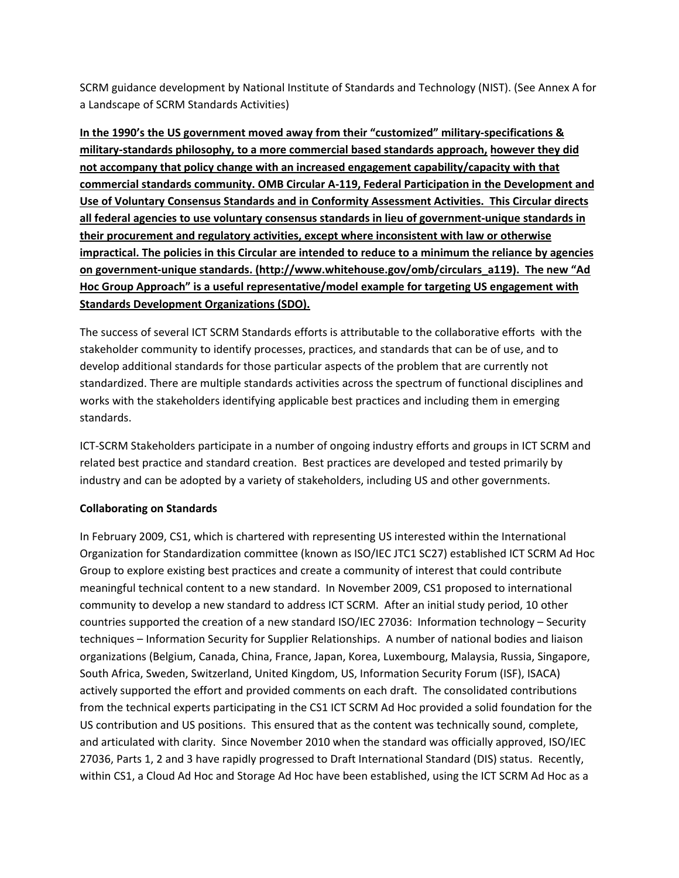SCRM guidance development by National Institute of Standards and Technology (NIST). (See Annex A for a Landscape of SCRM Standards Activities)

**In the 1990's the US government moved away from their "customized" military-specifications & military-standards philosophy, to a more commercial based standards approach, however they did not accompany that policy change with an increased engagement capability/capacity with that commercial standards community. OMB Circular A-119, Federal Participation in the Development and Use of Voluntary Consensus Standards and in Conformity Assessment Activities. This Circular directs all federal agencies to use voluntary consensus standards in lieu of government-unique standards in their procurement and regulatory activities, except where inconsistent with law or otherwise impractical. The policies in this Circular are intended to reduce to a minimum the reliance by agencies on government-unique standards. (http://www.whitehouse.gov/omb/circulars\_a119). The new "Ad Hoc Group Approach" is a useful representative/model example for targeting US engagement with Standards Development Organizations (SDO).**

The success of several ICT SCRM Standards efforts is attributable to the collaborative efforts with the stakeholder community to identify processes, practices, and standards that can be of use, and to develop additional standards for those particular aspects of the problem that are currently not standardized. There are multiple standards activities across the spectrum of functional disciplines and works with the stakeholders identifying applicable best practices and including them in emerging standards.

ICT-SCRM Stakeholders participate in a number of ongoing industry efforts and groups in ICT SCRM and related best practice and standard creation. Best practices are developed and tested primarily by industry and can be adopted by a variety of stakeholders, including US and other governments.

## **Collaborating on Standards**

In February 2009, CS1, which is chartered with representing US interested within the International Organization for Standardization committee (known as ISO/IEC JTC1 SC27) established ICT SCRM Ad Hoc Group to explore existing best practices and create a community of interest that could contribute meaningful technical content to a new standard. In November 2009, CS1 proposed to international community to develop a new standard to address ICT SCRM. After an initial study period, 10 other countries supported the creation of a new standard ISO/IEC 27036: Information technology – Security techniques – Information Security for Supplier Relationships. A number of national bodies and liaison organizations (Belgium, Canada, China, France, Japan, Korea, Luxembourg, Malaysia, Russia, Singapore, South Africa, Sweden, Switzerland, United Kingdom, US, Information Security Forum (ISF), ISACA) actively supported the effort and provided comments on each draft. The consolidated contributions from the technical experts participating in the CS1 ICT SCRM Ad Hoc provided a solid foundation for the US contribution and US positions. This ensured that as the content was technically sound, complete, and articulated with clarity. Since November 2010 when the standard was officially approved, ISO/IEC 27036, Parts 1, 2 and 3 have rapidly progressed to Draft International Standard (DIS) status. Recently, within CS1, a Cloud Ad Hoc and Storage Ad Hoc have been established, using the ICT SCRM Ad Hoc as a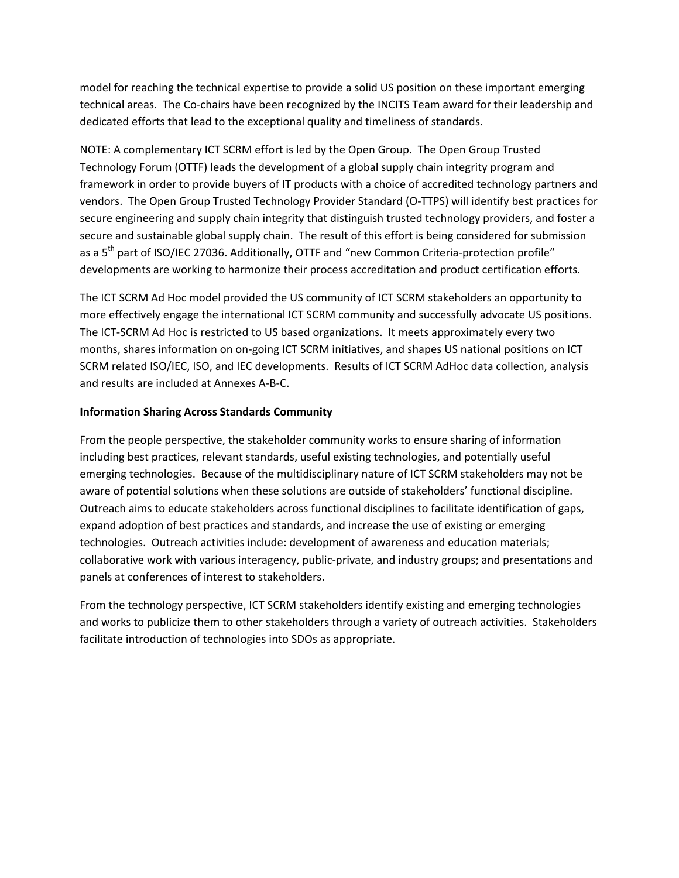model for reaching the technical expertise to provide a solid US position on these important emerging technical areas. The Co-chairs have been recognized by the INCITS Team award for their leadership and dedicated efforts that lead to the exceptional quality and timeliness of standards.

NOTE: A complementary ICT SCRM effort is led by the Open Group. The Open Group Trusted Technology Forum (OTTF) leads the development of a global supply chain integrity program and framework in order to provide buyers of IT products with a choice of accredited technology partners and vendors. The Open Group Trusted Technology Provider Standard (O-TTPS) will identify best practices for secure engineering and supply chain integrity that distinguish trusted technology providers, and foster a secure and sustainable global supply chain. The result of this effort is being considered for submission as a  $5<sup>th</sup>$  part of ISO/IEC 27036. Additionally, OTTF and "new Common Criteria-protection profile" developments are working to harmonize their process accreditation and product certification efforts.

The ICT SCRM Ad Hoc model provided the US community of ICT SCRM stakeholders an opportunity to more effectively engage the international ICT SCRM community and successfully advocate US positions. The ICT-SCRM Ad Hoc is restricted to US based organizations. It meets approximately every two months, shares information on on-going ICT SCRM initiatives, and shapes US national positions on ICT SCRM related ISO/IEC, ISO, and IEC developments. Results of ICT SCRM AdHoc data collection, analysis and results are included at Annexes A-B-C.

#### **Information Sharing Across Standards Community**

From the people perspective, the stakeholder community works to ensure sharing of information including best practices, relevant standards, useful existing technologies, and potentially useful emerging technologies. Because of the multidisciplinary nature of ICT SCRM stakeholders may not be aware of potential solutions when these solutions are outside of stakeholders' functional discipline. Outreach aims to educate stakeholders across functional disciplines to facilitate identification of gaps, expand adoption of best practices and standards, and increase the use of existing or emerging technologies. Outreach activities include: development of awareness and education materials; collaborative work with various interagency, public-private, and industry groups; and presentations and panels at conferences of interest to stakeholders.

From the technology perspective, ICT SCRM stakeholders identify existing and emerging technologies and works to publicize them to other stakeholders through a variety of outreach activities. Stakeholders facilitate introduction of technologies into SDOs as appropriate.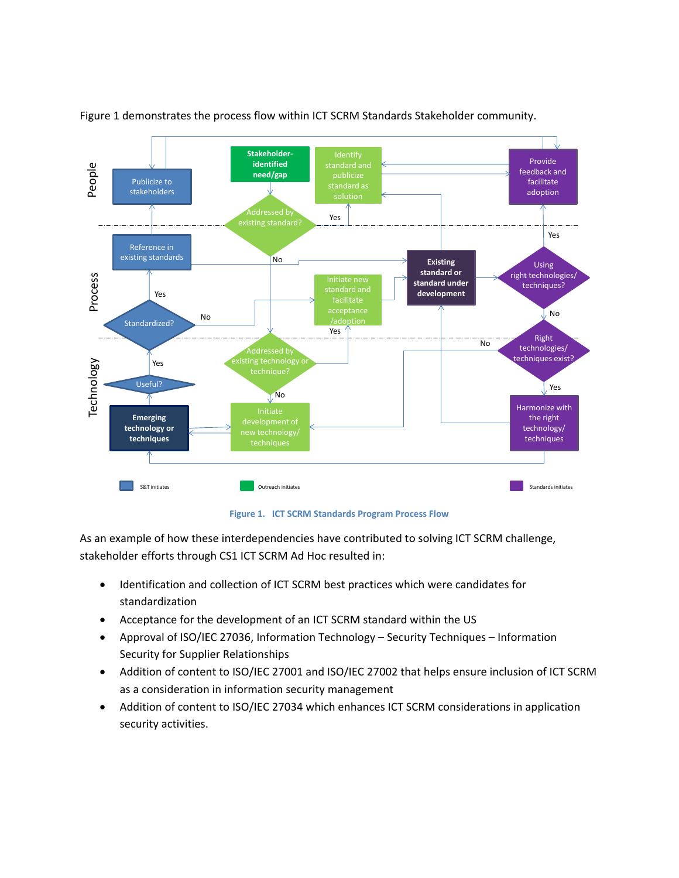

Figure 1 demonstrates the process flow within ICT SCRM Standards Stakeholder community.

**Figure 1. ICT SCRM Standards Program Process Flow**

As an example of how these interdependencies have contributed to solving ICT SCRM challenge, stakeholder efforts through CS1 ICT SCRM Ad Hoc resulted in:

- Identification and collection of ICT SCRM best practices which were candidates for standardization
- Acceptance for the development of an ICT SCRM standard within the US
- Approval of ISO/IEC 27036, Information Technology Security Techniques Information Security for Supplier Relationships
- Addition of content to ISO/IEC 27001 and ISO/IEC 27002 that helps ensure inclusion of ICT SCRM as a consideration in information security management
- Addition of content to ISO/IEC 27034 which enhances ICT SCRM considerations in application security activities.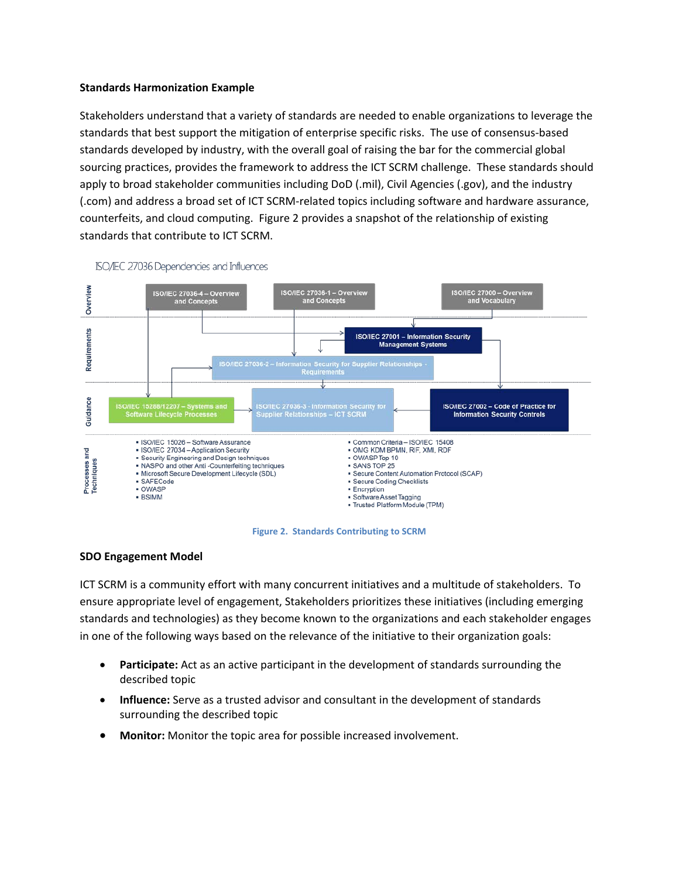#### **Standards Harmonization Example**

Stakeholders understand that a variety of standards are needed to enable organizations to leverage the standards that best support the mitigation of enterprise specific risks. The use of consensus-based standards developed by industry, with the overall goal of raising the bar for the commercial global sourcing practices, provides the framework to address the ICT SCRM challenge. These standards should apply to broad stakeholder communities including DoD (.mil), Civil Agencies (.gov), and the industry (.com) and address a broad set of ICT SCRM-related topics including software and hardware assurance, counterfeits, and cloud computing. Figure 2 provides a snapshot of the relationship of existing standards that contribute to ICT SCRM.



ISO/IEC 27036 Dependencies and Influences

**Figure 2. Standards Contributing to SCRM**

#### **SDO Engagement Model**

ICT SCRM is a community effort with many concurrent initiatives and a multitude of stakeholders. To ensure appropriate level of engagement, Stakeholders prioritizes these initiatives (including emerging standards and technologies) as they become known to the organizations and each stakeholder engages in one of the following ways based on the relevance of the initiative to their organization goals:

- **Participate:** Act as an active participant in the development of standards surrounding the described topic
- **Influence:** Serve as a trusted advisor and consultant in the development of standards surrounding the described topic
- **Monitor:** Monitor the topic area for possible increased involvement.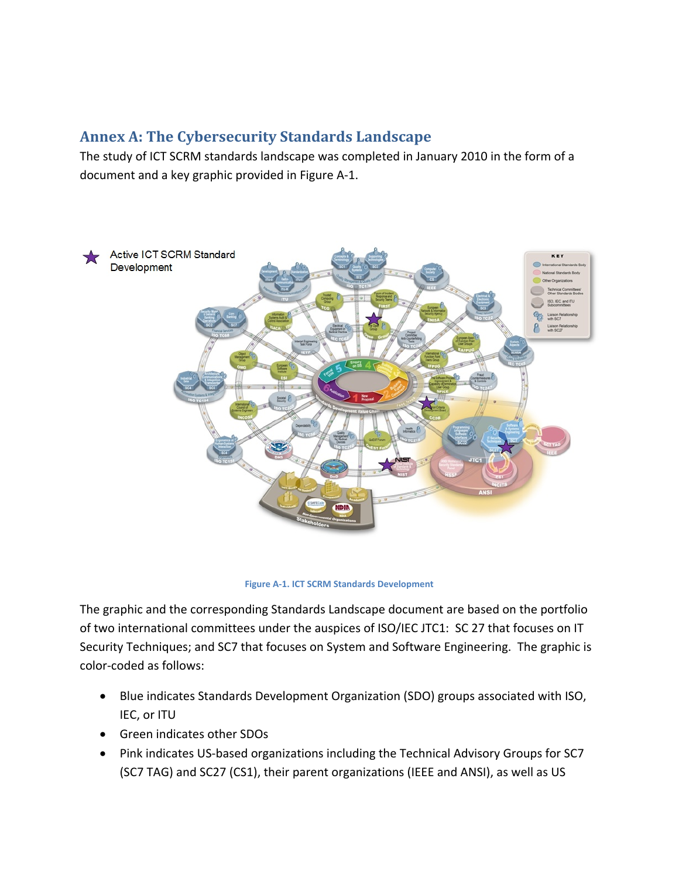# **Annex A: The Cybersecurity Standards Landscape**

The study of ICT SCRM standards landscape was completed in January 2010 in the form of a document and a key graphic provided in Figure A-1.



**Figure A-1. ICT SCRM Standards Development**

The graphic and the corresponding Standards Landscape document are based on the portfolio of two international committees under the auspices of ISO/IEC JTC1: SC 27 that focuses on IT Security Techniques; and SC7 that focuses on System and Software Engineering. The graphic is color-coded as follows:

- Blue indicates Standards Development Organization (SDO) groups associated with ISO, IEC, or ITU
- Green indicates other SDOs
- Pink indicates US-based organizations including the Technical Advisory Groups for SC7 (SC7 TAG) and SC27 (CS1), their parent organizations (IEEE and ANSI), as well as US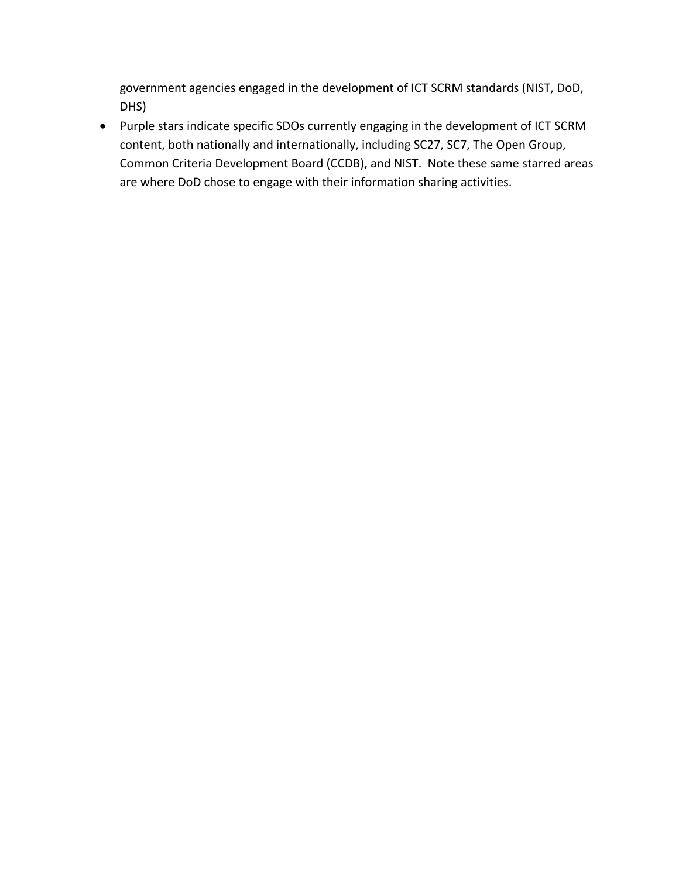government agencies engaged in the development of ICT SCRM standards (NIST, DoD, DHS)

• Purple stars indicate specific SDOs currently engaging in the development of ICT SCRM content, both nationally and internationally, including SC27, SC7, The Open Group, Common Criteria Development Board (CCDB), and NIST. Note these same starred areas are where DoD chose to engage with their information sharing activities.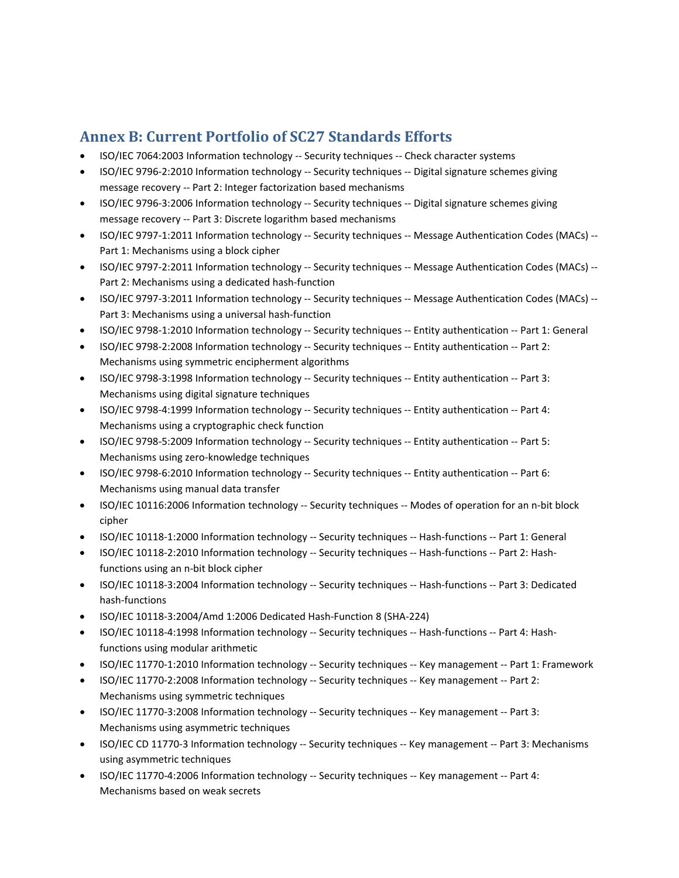## **Annex B: Current Portfolio of SC27 Standards Efforts**

- ISO/IEC 7064:2003 Information technology -- Security techniques -- Check character systems
- ISO/IEC 9796-2:2010 Information technology -- Security techniques -- Digital signature schemes giving message recovery -- Part 2: Integer factorization based mechanisms
- ISO/IEC 9796-3:2006 Information technology -- Security techniques -- Digital signature schemes giving message recovery -- Part 3: Discrete logarithm based mechanisms
- ISO/IEC 9797-1:2011 Information technology -- Security techniques -- Message Authentication Codes (MACs) --Part 1: Mechanisms using a block cipher
- ISO/IEC 9797-2:2011 Information technology -- Security techniques -- Message Authentication Codes (MACs) --Part 2: Mechanisms using a dedicated hash-function
- ISO/IEC 9797-3:2011 Information technology -- Security techniques -- Message Authentication Codes (MACs) -- Part 3: Mechanisms using a universal hash-function
- ISO/IEC 9798-1:2010 Information technology -- Security techniques -- Entity authentication -- Part 1: General
- ISO/IEC 9798-2:2008 Information technology -- Security techniques -- Entity authentication -- Part 2: Mechanisms using symmetric encipherment algorithms
- ISO/IEC 9798-3:1998 Information technology -- Security techniques -- Entity authentication -- Part 3: Mechanisms using digital signature techniques
- ISO/IEC 9798-4:1999 Information technology -- Security techniques -- Entity authentication -- Part 4: Mechanisms using a cryptographic check function
- ISO/IEC 9798-5:2009 Information technology -- Security techniques -- Entity authentication -- Part 5: Mechanisms using zero-knowledge techniques
- ISO/IEC 9798-6:2010 Information technology -- Security techniques -- Entity authentication -- Part 6: Mechanisms using manual data transfer
- ISO/IEC 10116:2006 Information technology -- Security techniques -- Modes of operation for an n-bit block cipher
- ISO/IEC 10118-1:2000 Information technology -- Security techniques -- Hash-functions -- Part 1: General
- ISO/IEC 10118-2:2010 Information technology -- Security techniques -- Hash-functions -- Part 2: Hashfunctions using an n-bit block cipher
- ISO/IEC 10118-3:2004 Information technology -- Security techniques -- Hash-functions -- Part 3: Dedicated hash-functions
- ISO/IEC 10118-3:2004/Amd 1:2006 Dedicated Hash-Function 8 (SHA-224)
- ISO/IEC 10118-4:1998 Information technology -- Security techniques -- Hash-functions -- Part 4: Hashfunctions using modular arithmetic
- ISO/IEC 11770-1:2010 Information technology -- Security techniques -- Key management -- Part 1: Framework
- ISO/IEC 11770-2:2008 Information technology -- Security techniques -- Key management -- Part 2: Mechanisms using symmetric techniques
- ISO/IEC 11770-3:2008 Information technology -- Security techniques -- Key management -- Part 3: Mechanisms using asymmetric techniques
- ISO/IEC CD 11770-3 Information technology -- Security techniques -- Key management -- Part 3: Mechanisms using asymmetric techniques
- ISO/IEC 11770-4:2006 Information technology -- Security techniques -- Key management -- Part 4: Mechanisms based on weak secrets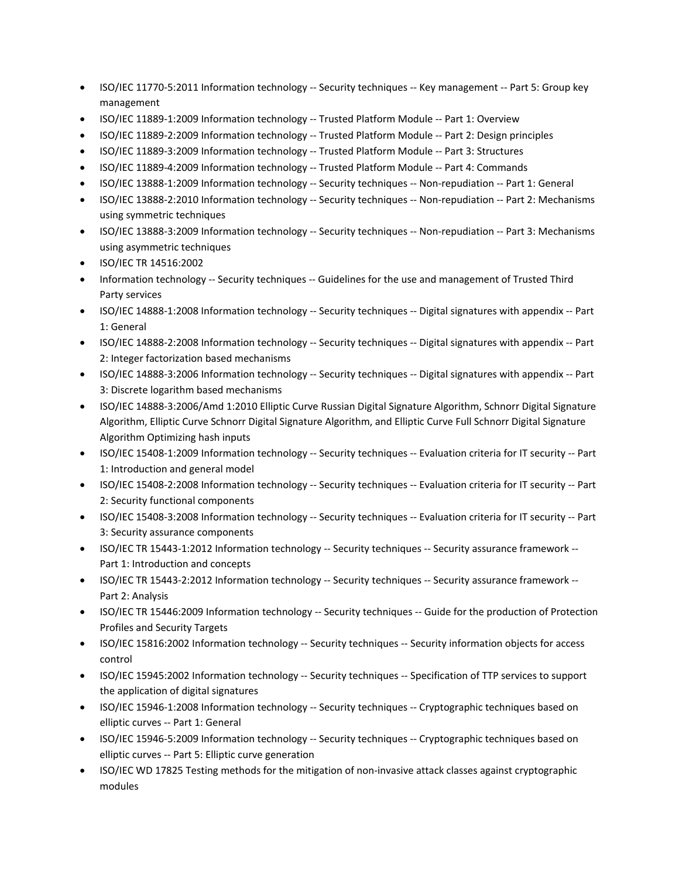- ISO/IEC 11770-5:2011 Information technology -- Security techniques -- Key management -- Part 5: Group key management
- ISO/IEC 11889-1:2009 Information technology -- Trusted Platform Module -- Part 1: Overview
- ISO/IEC 11889-2:2009 Information technology -- Trusted Platform Module -- Part 2: Design principles
- ISO/IEC 11889-3:2009 Information technology -- Trusted Platform Module -- Part 3: Structures
- ISO/IEC 11889-4:2009 Information technology -- Trusted Platform Module -- Part 4: Commands
- ISO/IEC 13888-1:2009 Information technology -- Security techniques -- Non-repudiation -- Part 1: General
- ISO/IEC 13888-2:2010 Information technology -- Security techniques -- Non-repudiation -- Part 2: Mechanisms using symmetric techniques
- ISO/IEC 13888-3:2009 Information technology -- Security techniques -- Non-repudiation -- Part 3: Mechanisms using asymmetric techniques
- ISO/IEC TR 14516:2002
- Information technology -- Security techniques -- Guidelines for the use and management of Trusted Third Party services
- ISO/IEC 14888-1:2008 Information technology -- Security techniques -- Digital signatures with appendix -- Part 1: General
- ISO/IEC 14888-2:2008 Information technology -- Security techniques -- Digital signatures with appendix -- Part 2: Integer factorization based mechanisms
- ISO/IEC 14888-3:2006 Information technology -- Security techniques -- Digital signatures with appendix -- Part 3: Discrete logarithm based mechanisms
- ISO/IEC 14888-3:2006/Amd 1:2010 Elliptic Curve Russian Digital Signature Algorithm, Schnorr Digital Signature Algorithm, Elliptic Curve Schnorr Digital Signature Algorithm, and Elliptic Curve Full Schnorr Digital Signature Algorithm Optimizing hash inputs
- ISO/IEC 15408-1:2009 Information technology -- Security techniques -- Evaluation criteria for IT security -- Part 1: Introduction and general model
- ISO/IEC 15408-2:2008 Information technology -- Security techniques -- Evaluation criteria for IT security -- Part 2: Security functional components
- ISO/IEC 15408-3:2008 Information technology -- Security techniques -- Evaluation criteria for IT security -- Part 3: Security assurance components
- ISO/IEC TR 15443-1:2012 Information technology -- Security techniques -- Security assurance framework --Part 1: Introduction and concepts
- ISO/IEC TR 15443-2:2012 Information technology -- Security techniques -- Security assurance framework --Part 2: Analysis
- ISO/IEC TR 15446:2009 Information technology -- Security techniques -- Guide for the production of Protection Profiles and Security Targets
- ISO/IEC 15816:2002 Information technology -- Security techniques -- Security information objects for access control
- ISO/IEC 15945:2002 Information technology -- Security techniques -- Specification of TTP services to support the application of digital signatures
- ISO/IEC 15946-1:2008 Information technology -- Security techniques -- Cryptographic techniques based on elliptic curves -- Part 1: General
- ISO/IEC 15946-5:2009 Information technology -- Security techniques -- Cryptographic techniques based on elliptic curves -- Part 5: Elliptic curve generation
- ISO/IEC WD 17825 Testing methods for the mitigation of non-invasive attack classes against cryptographic modules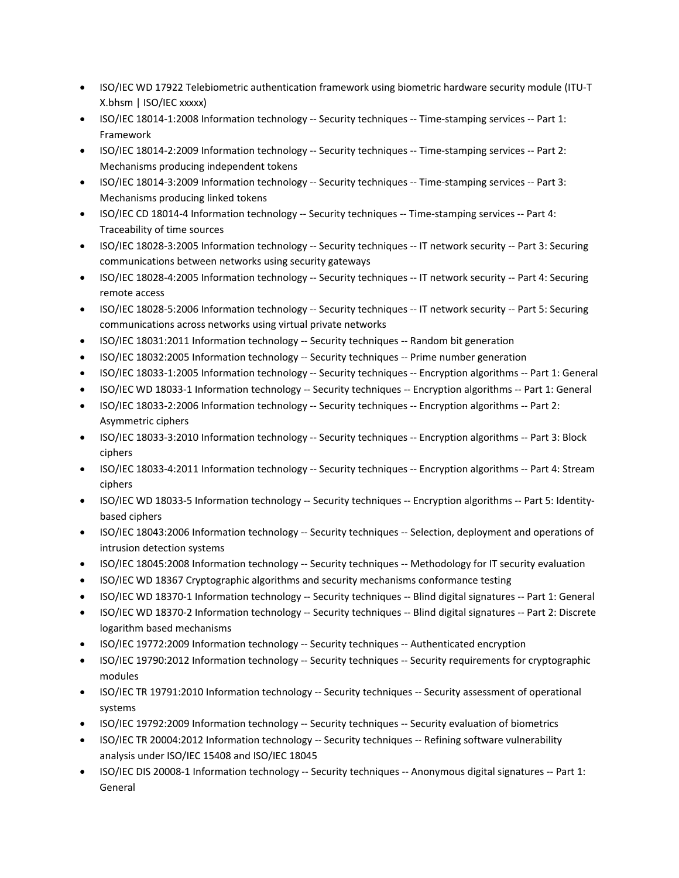- ISO/IEC WD 17922 Telebiometric authentication framework using biometric hardware security module (ITU-T X.bhsm | ISO/IEC xxxxx)
- ISO/IEC 18014-1:2008 Information technology -- Security techniques -- Time-stamping services -- Part 1: Framework
- ISO/IEC 18014-2:2009 Information technology -- Security techniques -- Time-stamping services -- Part 2: Mechanisms producing independent tokens
- ISO/IEC 18014-3:2009 Information technology -- Security techniques -- Time-stamping services -- Part 3: Mechanisms producing linked tokens
- ISO/IEC CD 18014-4 Information technology -- Security techniques -- Time-stamping services -- Part 4: Traceability of time sources
- ISO/IEC 18028-3:2005 Information technology -- Security techniques -- IT network security -- Part 3: Securing communications between networks using security gateways
- ISO/IEC 18028-4:2005 Information technology -- Security techniques -- IT network security -- Part 4: Securing remote access
- ISO/IEC 18028-5:2006 Information technology -- Security techniques -- IT network security -- Part 5: Securing communications across networks using virtual private networks
- ISO/IEC 18031:2011 Information technology -- Security techniques -- Random bit generation
- ISO/IEC 18032:2005 Information technology -- Security techniques -- Prime number generation
- ISO/IEC 18033-1:2005 Information technology -- Security techniques -- Encryption algorithms -- Part 1: General
- ISO/IEC WD 18033-1 Information technology -- Security techniques -- Encryption algorithms -- Part 1: General
- ISO/IEC 18033-2:2006 Information technology -- Security techniques -- Encryption algorithms -- Part 2: Asymmetric ciphers
- ISO/IEC 18033-3:2010 Information technology -- Security techniques -- Encryption algorithms -- Part 3: Block ciphers
- ISO/IEC 18033-4:2011 Information technology -- Security techniques -- Encryption algorithms -- Part 4: Stream ciphers
- ISO/IEC WD 18033-5 Information technology -- Security techniques -- Encryption algorithms -- Part 5: Identitybased ciphers
- ISO/IEC 18043:2006 Information technology -- Security techniques -- Selection, deployment and operations of intrusion detection systems
- ISO/IEC 18045:2008 Information technology -- Security techniques -- Methodology for IT security evaluation
- ISO/IEC WD 18367 Cryptographic algorithms and security mechanisms conformance testing
- ISO/IEC WD 18370-1 Information technology -- Security techniques -- Blind digital signatures -- Part 1: General
- ISO/IEC WD 18370-2 Information technology -- Security techniques -- Blind digital signatures -- Part 2: Discrete logarithm based mechanisms
- ISO/IEC 19772:2009 Information technology -- Security techniques -- Authenticated encryption
- ISO/IEC 19790:2012 Information technology -- Security techniques -- Security requirements for cryptographic modules
- ISO/IEC TR 19791:2010 Information technology -- Security techniques -- Security assessment of operational systems
- ISO/IEC 19792:2009 Information technology -- Security techniques -- Security evaluation of biometrics
- ISO/IEC TR 20004:2012 Information technology -- Security techniques -- Refining software vulnerability analysis under ISO/IEC 15408 and ISO/IEC 18045
- ISO/IEC DIS 20008-1 Information technology -- Security techniques -- Anonymous digital signatures -- Part 1: General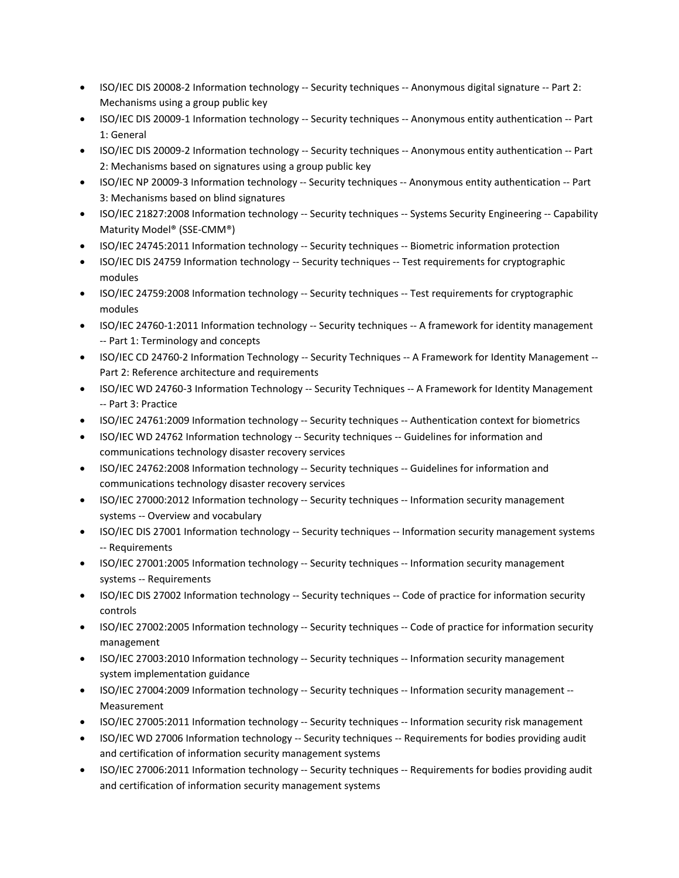- ISO/IEC DIS 20008-2 Information technology -- Security techniques -- Anonymous digital signature -- Part 2: Mechanisms using a group public key
- ISO/IEC DIS 20009-1 Information technology -- Security techniques -- Anonymous entity authentication -- Part 1: General
- ISO/IEC DIS 20009-2 Information technology -- Security techniques -- Anonymous entity authentication -- Part 2: Mechanisms based on signatures using a group public key
- ISO/IEC NP 20009-3 Information technology -- Security techniques -- Anonymous entity authentication -- Part 3: Mechanisms based on blind signatures
- ISO/IEC 21827:2008 Information technology -- Security techniques -- Systems Security Engineering -- Capability Maturity Model® (SSE-CMM®)
- ISO/IEC 24745:2011 Information technology -- Security techniques -- Biometric information protection
- ISO/IEC DIS 24759 Information technology -- Security techniques -- Test requirements for cryptographic modules
- ISO/IEC 24759:2008 Information technology -- Security techniques -- Test requirements for cryptographic modules
- ISO/IEC 24760-1:2011 Information technology -- Security techniques -- A framework for identity management -- Part 1: Terminology and concepts
- ISO/IEC CD 24760-2 Information Technology -- Security Techniques -- A Framework for Identity Management --Part 2: Reference architecture and requirements
- ISO/IEC WD 24760-3 Information Technology -- Security Techniques -- A Framework for Identity Management -- Part 3: Practice
- ISO/IEC 24761:2009 Information technology -- Security techniques -- Authentication context for biometrics
- ISO/IEC WD 24762 Information technology -- Security techniques -- Guidelines for information and communications technology disaster recovery services
- ISO/IEC 24762:2008 Information technology -- Security techniques -- Guidelines for information and communications technology disaster recovery services
- ISO/IEC 27000:2012 Information technology -- Security techniques -- Information security management systems -- Overview and vocabulary
- ISO/IEC DIS 27001 Information technology -- Security techniques -- Information security management systems -- Requirements
- ISO/IEC 27001:2005 Information technology -- Security techniques -- Information security management systems -- Requirements
- ISO/IEC DIS 27002 Information technology -- Security techniques -- Code of practice for information security controls
- ISO/IEC 27002:2005 Information technology -- Security techniques -- Code of practice for information security management
- ISO/IEC 27003:2010 Information technology -- Security techniques -- Information security management system implementation guidance
- ISO/IEC 27004:2009 Information technology -- Security techniques -- Information security management -- Measurement
- ISO/IEC 27005:2011 Information technology -- Security techniques -- Information security risk management
- ISO/IEC WD 27006 Information technology -- Security techniques -- Requirements for bodies providing audit and certification of information security management systems
- ISO/IEC 27006:2011 Information technology -- Security techniques -- Requirements for bodies providing audit and certification of information security management systems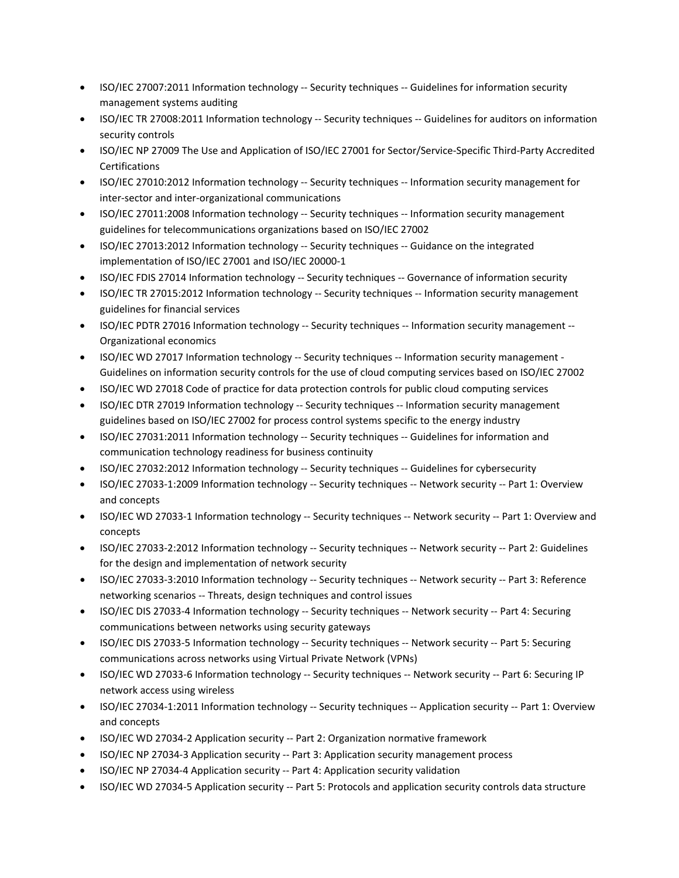- ISO/IEC 27007:2011 Information technology -- Security techniques -- Guidelines for information security management systems auditing
- ISO/IEC TR 27008:2011 Information technology -- Security techniques -- Guidelines for auditors on information security controls
- ISO/IEC NP 27009 The Use and Application of ISO/IEC 27001 for Sector/Service-Specific Third-Party Accredited Certifications
- ISO/IEC 27010:2012 Information technology -- Security techniques -- Information security management for inter-sector and inter-organizational communications
- ISO/IEC 27011:2008 Information technology -- Security techniques -- Information security management guidelines for telecommunications organizations based on ISO/IEC 27002
- ISO/IEC 27013:2012 Information technology -- Security techniques -- Guidance on the integrated implementation of ISO/IEC 27001 and ISO/IEC 20000-1
- ISO/IEC FDIS 27014 Information technology -- Security techniques -- Governance of information security
- ISO/IEC TR 27015:2012 Information technology -- Security techniques -- Information security management guidelines for financial services
- ISO/IEC PDTR 27016 Information technology -- Security techniques -- Information security management --Organizational economics
- ISO/IEC WD 27017 Information technology -- Security techniques -- Information security management -Guidelines on information security controls for the use of cloud computing services based on ISO/IEC 27002
- ISO/IEC WD 27018 Code of practice for data protection controls for public cloud computing services
- ISO/IEC DTR 27019 Information technology -- Security techniques -- Information security management guidelines based on ISO/IEC 27002 for process control systems specific to the energy industry
- ISO/IEC 27031:2011 Information technology -- Security techniques -- Guidelines for information and communication technology readiness for business continuity
- ISO/IEC 27032:2012 Information technology -- Security techniques -- Guidelines for cybersecurity
- ISO/IEC 27033-1:2009 Information technology -- Security techniques -- Network security -- Part 1: Overview and concepts
- ISO/IEC WD 27033-1 Information technology -- Security techniques -- Network security -- Part 1: Overview and concepts
- ISO/IEC 27033-2:2012 Information technology -- Security techniques -- Network security -- Part 2: Guidelines for the design and implementation of network security
- ISO/IEC 27033-3:2010 Information technology -- Security techniques -- Network security -- Part 3: Reference networking scenarios -- Threats, design techniques and control issues
- ISO/IEC DIS 27033-4 Information technology -- Security techniques -- Network security -- Part 4: Securing communications between networks using security gateways
- ISO/IEC DIS 27033-5 Information technology -- Security techniques -- Network security -- Part 5: Securing communications across networks using Virtual Private Network (VPNs)
- ISO/IEC WD 27033-6 Information technology -- Security techniques -- Network security -- Part 6: Securing IP network access using wireless
- ISO/IEC 27034-1:2011 Information technology -- Security techniques -- Application security -- Part 1: Overview and concepts
- ISO/IEC WD 27034-2 Application security -- Part 2: Organization normative framework
- ISO/IEC NP 27034-3 Application security -- Part 3: Application security management process
- ISO/IEC NP 27034-4 Application security -- Part 4: Application security validation
- ISO/IEC WD 27034-5 Application security -- Part 5: Protocols and application security controls data structure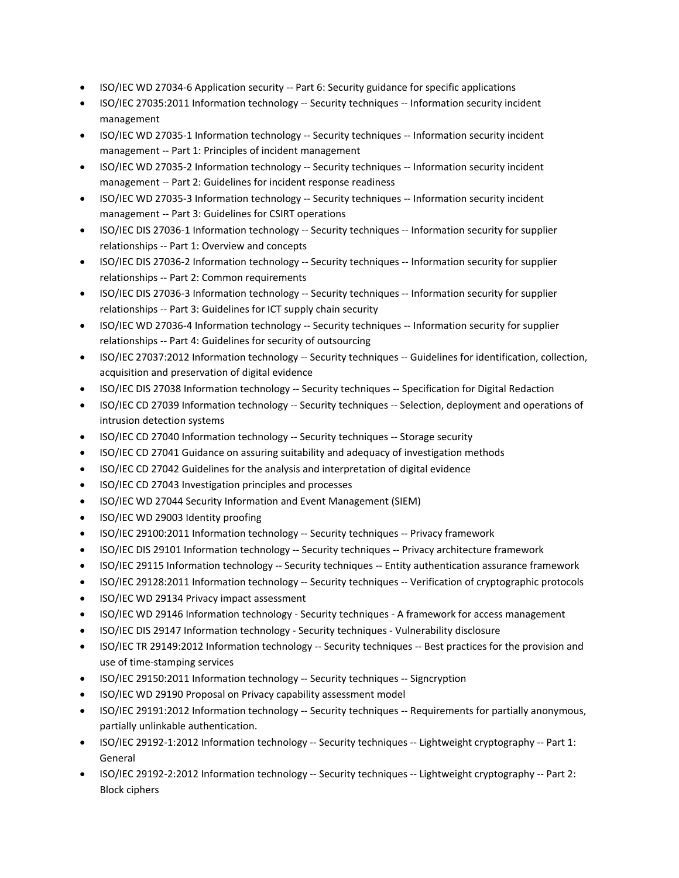- ISO/IEC WD 27034-6 Application security -- Part 6: Security guidance for specific applications
- ISO/IEC 27035:2011 Information technology -- Security techniques -- Information security incident management
- ISO/IEC WD 27035-1 Information technology -- Security techniques -- Information security incident management -- Part 1: Principles of incident management
- ISO/IEC WD 27035-2 Information technology -- Security techniques -- Information security incident management -- Part 2: Guidelines for incident response readiness
- ISO/IEC WD 27035-3 Information technology -- Security techniques -- Information security incident management -- Part 3: Guidelines for CSIRT operations
- ISO/IEC DIS 27036-1 Information technology -- Security techniques -- Information security for supplier relationships -- Part 1: Overview and concepts
- ISO/IEC DIS 27036-2 Information technology -- Security techniques -- Information security for supplier relationships -- Part 2: Common requirements
- ISO/IEC DIS 27036-3 Information technology -- Security techniques -- Information security for supplier relationships -- Part 3: Guidelines for ICT supply chain security
- ISO/IEC WD 27036-4 Information technology -- Security techniques -- Information security for supplier relationships -- Part 4: Guidelines for security of outsourcing
- ISO/IEC 27037:2012 Information technology -- Security techniques -- Guidelines for identification, collection, acquisition and preservation of digital evidence
- ISO/IEC DIS 27038 Information technology -- Security techniques -- Specification for Digital Redaction
- ISO/IEC CD 27039 Information technology -- Security techniques -- Selection, deployment and operations of intrusion detection systems
- ISO/IEC CD 27040 Information technology -- Security techniques -- Storage security
- ISO/IEC CD 27041 Guidance on assuring suitability and adequacy of investigation methods
- ISO/IEC CD 27042 Guidelines for the analysis and interpretation of digital evidence
- ISO/IEC CD 27043 Investigation principles and processes
- ISO/IEC WD 27044 Security Information and Event Management (SIEM)
- ISO/IEC WD 29003 Identity proofing
- ISO/IEC 29100:2011 Information technology -- Security techniques -- Privacy framework
- ISO/IEC DIS 29101 Information technology -- Security techniques -- Privacy architecture framework
- ISO/IEC 29115 Information technology -- Security techniques -- Entity authentication assurance framework
- ISO/IEC 29128:2011 Information technology -- Security techniques -- Verification of cryptographic protocols
- ISO/IEC WD 29134 Privacy impact assessment
- ISO/IEC WD 29146 Information technology Security techniques A framework for access management
- ISO/IEC DIS 29147 Information technology Security techniques Vulnerability disclosure
- ISO/IEC TR 29149:2012 Information technology -- Security techniques -- Best practices for the provision and use of time-stamping services
- ISO/IEC 29150:2011 Information technology -- Security techniques -- Signcryption
- ISO/IEC WD 29190 Proposal on Privacy capability assessment model
- ISO/IEC 29191:2012 Information technology -- Security techniques -- Requirements for partially anonymous, partially unlinkable authentication.
- ISO/IEC 29192-1:2012 Information technology -- Security techniques -- Lightweight cryptography -- Part 1: General
- ISO/IEC 29192-2:2012 Information technology -- Security techniques -- Lightweight cryptography -- Part 2: Block ciphers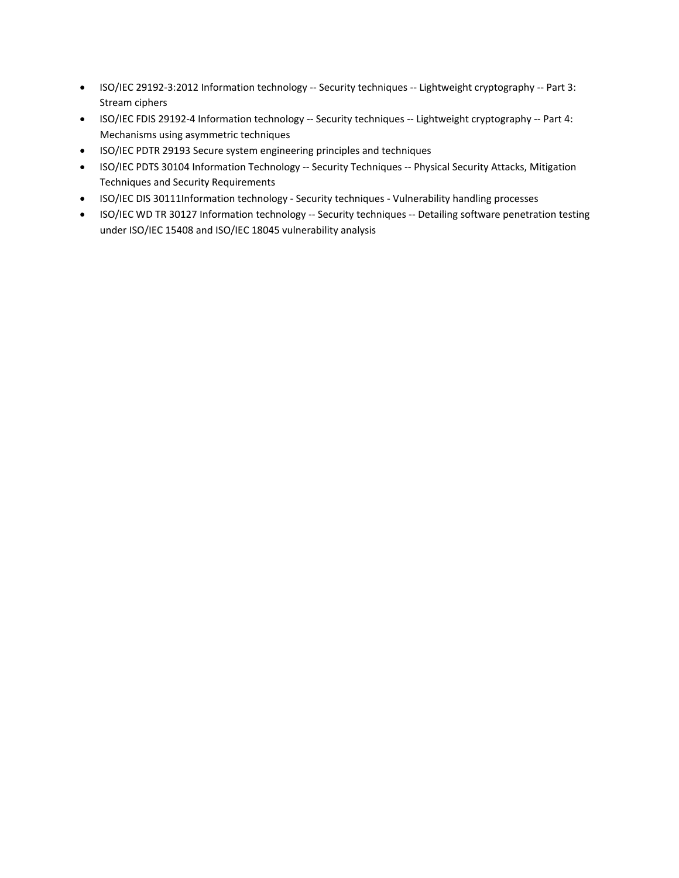- ISO/IEC 29192-3:2012 Information technology -- Security techniques -- Lightweight cryptography -- Part 3: Stream ciphers
- ISO/IEC FDIS 29192-4 Information technology -- Security techniques -- Lightweight cryptography -- Part 4: Mechanisms using asymmetric techniques
- ISO/IEC PDTR 29193 Secure system engineering principles and techniques
- ISO/IEC PDTS 30104 Information Technology -- Security Techniques -- Physical Security Attacks, Mitigation Techniques and Security Requirements
- ISO/IEC DIS 30111Information technology Security techniques Vulnerability handling processes
- ISO/IEC WD TR 30127 Information technology -- Security techniques -- Detailing software penetration testing under ISO/IEC 15408 and ISO/IEC 18045 vulnerability analysis